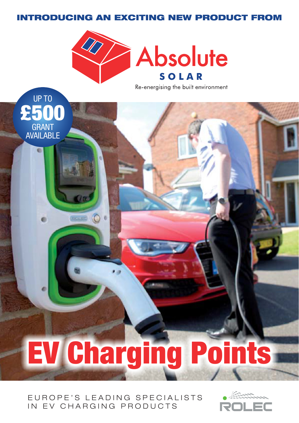# INTRODUCING AN EXCITING NEW PRODUCT FROM



UP TO

£500

GRANT AVAILABLE

 $\bullet$ 

Re-energising the built environment

EV Charging Points

# EUROPE'S LEADING SPECIALISTS IN EV CHARGING PRODUCTS